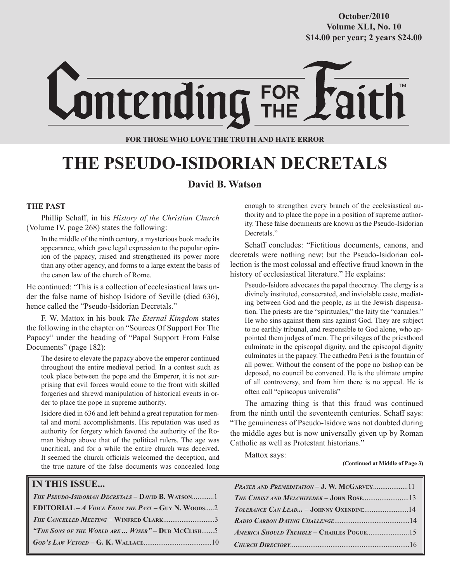#### **Volume XLI, No. 10 Volume XXXVIII, No. 10 \$14.00 per year; 2 years \$24.00 \$14.00 per year; 2 years \$24.00 October/2010**

# Ontending FOR

#### **FOR THOSE WHO LOVE THE TRUTH AND HATE ERROR**

## **THE PSEUDO-ISIDORIAN DECRETALS**

#### **David B. Watson**

#### **THE PAST**

Phillip Schaff, in his *History of the Christian Church*  (Volume IV, page 268) states the following:

In the middle of the ninth century, a mysterious book made its appearance, which gave legal expression to the popular opinion of the papacy, raised and strengthened its power more than any other agency, and forms to a large extent the basis of the canon law of the church of Rome.

He continued: "This is a collection of ecclesiastical laws under the false name of bishop Isidore of Seville (died 636), hence called the "Pseudo-Isidorian Decretals."

F. W. Mattox in his book *The Eternal Kingdom* states the following in the chapter on "Sources Of Support For The Papacy" under the heading of "Papal Support From False Documents" (page 182):

The desire to elevate the papacy above the emperor continued throughout the entire medieval period. In a contest such as took place between the pope and the Emperor, it is not surprising that evil forces would come to the front with skilled forgeries and shrewd manipulation of historical events in order to place the pope in supreme authority.

Isidore died in 636 and left behind a great reputation for mental and moral accomplishments. His reputation was used as authority for forgery which favored the authority of the Roman bishop above that of the political rulers. The age was uncritical, and for a while the entire church was deceived. It seemed the church officials welcomed the deception, and the true nature of the false documents was concealed long

enough to strengthen every branch of the ecclesiastical authority and to place the pope in a position of supreme authority. These false documents are known as the Pseudo-Isidorian Decretals<sup>"</sup>

Schaff concludes: "Fictitious documents, canons, and decretals were nothing new; but the Pseudo-Isidorian collection is the most colossal and effective fraud known in the history of ecclesiastical literature." He explains:

Pseudo-Isidore advocates the papal theocracy. The clergy is a divinely instituted, consecrated, and inviolable caste, mediating between God and the people, as in the Jewish dispensation. The priests are the "spirituales," the laity the "carnales." He who sins against them sins against God. They are subject to no earthly tribunal, and responsible to God alone, who appointed them judges of men. The privileges of the priesthood culminate in the episcopal dignity, and the episcopal dignity culminates in the papacy. The cathedra Petri is the fountain of all power. Without the consent of the pope no bishop can be deposed, no council be convened. He is the ultimate umpire of all controversy, and from him there is no appeal. He is often call "episcopus univeralis"

The amazing thing is that this fraud was continued from the ninth until the seventeenth centuries. Schaff says: "The genuineness of Pseudo-Isidore was not doubted during the middle ages but is now universally given up by Roman Catholic as well as Protestant historians."

Mattox says:

#### **(Continued at Middle of Page 3)**

| <b>IN THIS ISSUE</b>                                                     |  |
|--------------------------------------------------------------------------|--|
| <b>THE PSEUDO-ISIDORIAN DECRETALS - DAVID B. WATSON1</b>                 |  |
| <b>EDITORIAL</b> $-A$ <i>Voice From the Past</i> $-GUV$ <i>N. Woods2</i> |  |
| <b>THE CANCELLED MEETING - WINFRED CLARK3</b>                            |  |
| "The Sons of the World are  Wiser" – Dub McClish5                        |  |
|                                                                          |  |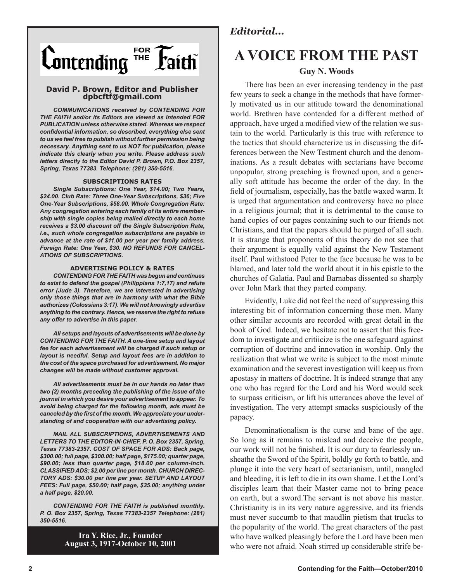

#### **David P. Brown, Editor and Publisher dpbcftf@gmail.com**

*COMMUNICATIONS received by CONTENDING FOR THE FAITH and/or its Editors are viewed as intended FOR PUBLICATION unless otherwise stated. Whereas we respect confidential information, so described, everything else sent to us we feel free to publish without further permission being necessary. Anything sent to us NOT for publication, please indicate this clearly when you write. Please address such letters directly to the Editor David P. Brown, P.O. Box 2357, Spring, Texas 77383. Telephone: (281) 350-5516.*

#### **SUBSCRIPTIONS RATES**

*Single Subscriptions: One Year, \$14.00; Two Years, \$24.00. Club Rate: Three One-Year Subscriptions, \$36; Five One-Year Subscriptions, \$58.00. Whole Congregation Rate: Any congregation entering each family of its entire membership with single copies being mailed directly to each home receives a \$3.00 discount off the Single Subscription Rate, i.e., such whole congregation subscriptions are payable in advance at the rate of \$11.00 per year per family address. Foreign Rate: One Year, \$30. NO REFUNDS FOR CANCEL-ATIONS OF SUBSCRIPTIONS.*

#### **ADVERTISING POLICY & RATES**

*CONTENDING FOR THE FAITH was begun and continues to exist to defend the gospel (Philippians 1:7,17) and refute error (Jude 3). Therefore, we are interested in advertising only those things that are in harmony with what the Bible authorizes (Colossians 3:17). We will not knowingly advertise anything to the contrary. Hence, we reserve the right to refuse any offer to advertise in this paper.*

*All setups and layouts of advertisements will be done by CONTENDING FOR THE FAITH. A one-time setup and layout fee for each advertisement will be charged if such setup or layout is needful. Setup and layout fees are in addition to the cost of the space purchased for advertisement. No major changes will be made without customer approval.*

*All advertisements must be in our hands no later than two (2) months preceding the publishing of the issue of the journal in which you desire your advertisement to appear. To avoid being charged for the following month, ads must be canceled by the first of the month. We appreciate your understanding of and cooperation with our advertising policy.*

*MAIL ALL SUBSCRIPTIONS, ADVERTISEMENTS AND LETTERS TO THE EDITOR-IN-CHIEF, P. O. Box 2357, Spring, Texas 77383-2357. COST OF SPACE FOR ADS: Back page, \$300.00; full page, \$300.00; half page, \$175.00; quarter page, \$90.00; less than quarter page, \$18.00 per column-inch. CLASSIFIED ADS: \$2.00 per line per month. CHURCH DIREC-TORY ADS: \$30.00 per line per year. SETUP AND LAYOUT FEES: Full page, \$50.00; half page, \$35.00; anything under a half page, \$20.00.*

*CONTENDING FOR THE FAITH is published monthly. P. O. Box 2357, Spring, Texas 77383-2357 Telephone: (281) 350-5516.*

> **Ira Y. Rice, Jr., Founder August 3, 1917-October 10, 2001**

#### *Editorial...*

## **A VOICE FROM THE PAST**

#### **Guy N. Woods**

There has been an ever increasing tendency in the past few years to seek a change in the methods that have formerly motivated us in our attitude toward the denominational world. Brethren have contended for a different method of approach, have urged a modified view of the relation we sustain to the world. Particularly is this true with reference to the tactics that should characterize us in discussing the differences between the New Testment church and the denominations. As a result debates with sectarians have become unpopular, strong preaching is frowned upon, and a generally soft attitude has become the order of the day. In the field of journalism, especially, has the battle waxed warm. It is urged that argumentation and controversy have no place in a religious journal; that it is detrimental to the cause to hand copies of our pages containing such to our friends not Christians, and that the papers should be purged of all such. It is strange that proponents of this theory do not see that their argument is equally valid against the New Testament itself. Paul withstood Peter to the face because he was to be blamed, and later told the world about it in his epistle to the churches of Galatia. Paul and Barnabas dissented so sharply over John Mark that they parted company.

Evidently, Luke did not feel the need of suppressing this interesting bit of information concerning those men. Many other similar accounts are recorded with great detail in the book of God. Indeed, we hesitate not to assert that this freedom to investigate and critiicize is the one safeguard against corruption of doctrine and innovation in worship. Only the realization that what we write is subject to the most minute examination and the severest investigation will keep us from apostasy in matters of doctrine. It is indeed strange that any one who has regard for the Lord and his Word would seek to surpass criticism, or lift his utterances above the level of investigation. The very attempt smacks suspiciously of the papacy.

Denominationalism is the curse and bane of the age. So long as it remains to mislead and deceive the people, our work will not be finished. It is our duty to fearlessly unsheathe the Sword of the Spirit, boldly go forth to battle, and plunge it into the very heart of sectarianism, until, mangled and bleeding, it is left to die in its own shame. Let the Lord's disciples learn that their Master came not to bring peace on earth, but a sword.The servant is not above his master. Christianity is in its very nature aggressive, and its friends must never succumb to that maudlin pietism that trucks to the popularity of the world. The great characters of the past who have walked pleasingly before the Lord have been men who were not afraid. Noah stirred up considerable strife be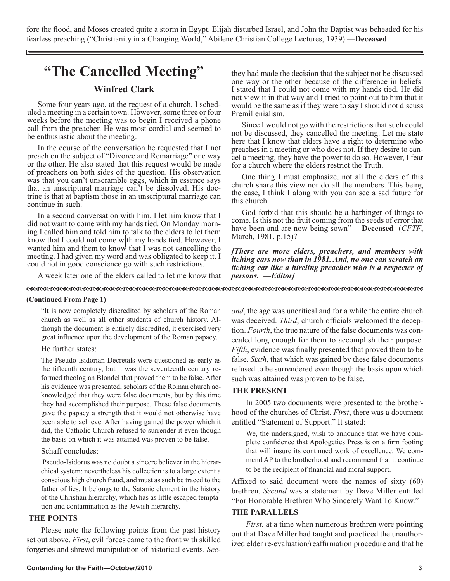fore the flood, and Moses created quite a storm in Egypt. Elijah disturbed Israel, and John the Baptist was beheaded for his fearless preaching ("Christianity in a Changing World," Abilene Christian College Lectures, 1939).**—Deceased**

## **"The Cancelled Meeting"**

#### **Winfred Clark**

Some four years ago, at the request of a church, I scheduled a meeting in a certain town. However, some three or four weeks before the meeting was to begin I received a phone call from the preacher. He was most cordial and seemed to be enthusiastic about the meeting.

In the course of the conversation he requested that I not preach on the subject of "Divorce and Remarriage" one way or the other. He also stated that this request would be made of preachers on both sides of the question. His observation was that you can't unscramble eggs, which in essence says that an unscriptural marriage can't be dissolved. His doctrine is that at baptism those in an unscriptural marriage can continue in such.

In a second conversation with him. I let him know that I did not want to come with my hands tied. On Monday morning I called him and told him to talk to the elders to let them know that I could not come with my hands tied. However, I wanted him and them to know that I was not cancelling the meeting. I had given my word and was obligated to keep it. I could not in good conscience go with such restrictions.

they had made the decision that the subject not be discussed one way or the other because of the difference in beliefs. I stated that I could not come with my hands tied. He did not view it in that way and I tried to point out to him that it would be the same as if they were to say I should not discuss Premillenialism.

Since I would not go with the restrictions that such could not be discussed, they cancelled the meeting. Let me state here that I know that elders have a right to determine who preaches in a meeting or who does not. If they desire to cancel a meeting, they have the power to do so. However, I fear for a church where the elders restrict the Truth.

One thing I must emphasize, not all the elders of this church share this view nor do all the members. This being the case, I think I along with you can see a sad future for this church.

God forbid that this should be a harbinger of things to come. Is this not the fruit coming from the seeds of error that have been and are now being sown" **—Deceased** (*CFTF*, March, 1981, p.15)?

*[There are more elders, preachers, and members with itching ears now than in 1981. And, no one can scratch an itching ear like a hireling preacher who is a respecter of persons. —Editor]* 

A week later one of the elders called to let me know that

#### **(Continued From Page 1)**

"It is now completely discredited by scholars of the Roman church as well as all other students of church history. Although the document is entirely discredited, it exercised very great influence upon the development of the Roman papacy.

#### He further states:

The Pseudo-Isidorian Decretals were questioned as early as the fifteenth century, but it was the seventeenth century reformed theologian Blondel that proved them to be false. After his evidence was presented, scholars of the Roman church acknowledged that they were false documents, but by this time they had accomplished their purpose. These false documents gave the papacy a strength that it would not otherwise have been able to achieve. After having gained the power which it did, the Catholic Church refused to surrender it even though the basis on which it was attained was proven to be false.

#### Schaff concludes:

 Pseudo-Isidorus was no doubt a sincere believer in the hierarchical system; nevertheless his collection is to a large extent a conscious high church fraud, and must as such be traced to the father of lies. It belongs to the Satanic element in the history of the Christian hierarchy, which has as little escaped temptation and contamination as the Jewish hierarchy.

#### **THE POINTS**

Please note the following points from the past history set out above. *First*, evil forces came to the front with skilled forgeries and shrewd manipulation of historical events. *Sec-*

**Contending for the Faith—October/2010 3**

*ond*, the age was uncritical and for a while the entire church was deceived. *Third*, church officials welcomed the deception. *Fourth*, the true nature of the false documents was concealed long enough for them to accomplish their purpose. *Fifth*, evidence was finally presented that proved them to be false. *Sixth*, that which was gained by these false documents refused to be surrendered even though the basis upon which such was attained was proven to be false.

#### **THE PRESENT**

In 2005 two documents were presented to the brotherhood of the churches of Christ. *First*, there was a document entitled "Statement of Support." It stated:

We, the undersigned, wish to announce that we have complete confidence that Apologetics Press is on a firm footing that will insure its continued work of excellence. We commend AP to the brotherhood and recommend that it continue to be the recipient of financial and moral support.

Affixed to said document were the names of sixty (60) brethren. *Second* was a statement by Dave Miller entitled "For Honorable Brethren Who Sincerely Want To Know."

#### **THE PARALLELS**

*First*, at a time when numerous brethren were pointing out that Dave Miller had taught and practiced the unauthorized elder re-evaluation/reaffirmation procedure and that he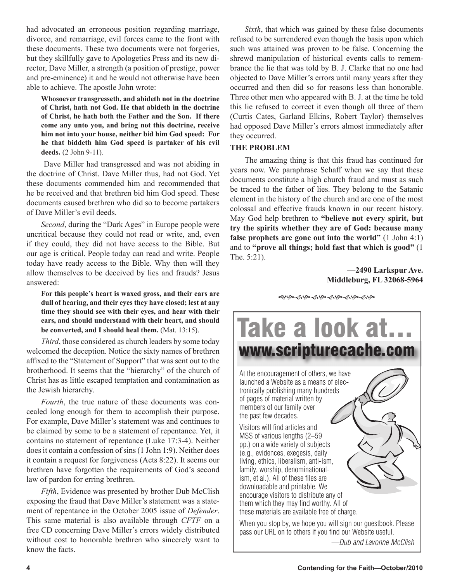had advocated an erroneous position regarding marriage, divorce, and remarriage, evil forces came to the front with these documents. These two documents were not forgeries, but they skillfully gave to Apologetics Press and its new director, Dave Miller, a strength (a position of prestige, power and pre-eminence) it and he would not otherwise have been able to achieve. The apostle John wrote:

**Whosoever transgresseth, and abideth not in the doctrine of Christ, hath not God. He that abideth in the doctrine of Christ, he hath both the Father and the Son. If there come any unto you, and bring not this doctrine, receive him not into your house, neither bid him God speed: For he that biddeth him God speed is partaker of his evil deeds.** (2 John 9-11).

 Dave Miller had transgressed and was not abiding in the doctrine of Christ. Dave Miller thus, had not God. Yet these documents commended him and recommended that he be received and that brethren bid him God speed. These documents caused brethren who did so to become partakers of Dave Miller's evil deeds.

*Second*, during the "Dark Ages" in Europe people were uncritical because they could not read or write, and, even if they could, they did not have access to the Bible. But our age is critical. People today can read and write. People today have ready access to the Bible. Why then will they allow themselves to be deceived by lies and frauds? Jesus answered:

**For this people's heart is waxed gross, and their ears are dull of hearing, and their eyes they have closed; lest at any time they should see with their eyes, and hear with their ears, and should understand with their heart, and should be converted, and I should heal them.** (Mat. 13:15).

*Third*, those considered as church leaders by some today welcomed the deception. Notice the sixty names of brethren affixed to the "Statement of Support" that was sent out to the brotherhood. It seems that the "hierarchy" of the church of Christ has as little escaped temptation and contamination as the Jewish hierarchy.

*Fourth*, the true nature of these documents was concealed long enough for them to accomplish their purpose. For example, Dave Miller's statement was and continues to be claimed by some to be a statement of repentance. Yet, it contains no statement of repentance (Luke 17:3-4). Neither does it contain a confession of sins (1 John 1:9). Neither does it contain a request for forgiveness (Acts 8:22). It seems our brethren have forgotten the requirements of God's second law of pardon for erring brethren.

*Fifth*, Evidence was presented by brother Dub McClish exposing the fraud that Dave Miller's statement was a statement of repentance in the October 2005 issue of *Defender*. This same material is also available through *CFTF* on a free CD concerning Dave Miller's errors widely distributed without cost to honorable brethren who sincerely want to know the facts.

*Sixth*, that which was gained by these false documents refused to be surrendered even though the basis upon which such was attained was proven to be false. Concerning the shrewd manipulation of historical events calls to remembrance the lie that was told by B. J. Clarke that no one had objected to Dave Miller's errors until many years after they occurred and then did so for reasons less than honorable. Three other men who appeared with B. J. at the time he told this lie refused to correct it even though all three of them (Curtis Cates, Garland Elkins, Robert Taylor) themselves had opposed Dave Miller's errors almost immediately after they occurred.

#### **THE PROBLEM**

The amazing thing is that this fraud has continued for years now. We paraphrase Schaff when we say that these documents constitute a high church fraud and must as such be traced to the father of lies. They belong to the Satanic element in the history of the church and are one of the most colossal and effective frauds known in our recent history. May God help brethren to **"believe not every spirit, but try the spirits whether they are of God: because many false prophets are gone out into the world"** (1 John 4:1) and to **"prove all things; hold fast that which is good"** (1 The. 5:21).

> **—2490 Larkspur Ave. Middleburg, FL 32068-5964**

**֎֍֍֍֍֍֍֍֍֍֍֍** 



*—Dub and Lavonne McClish*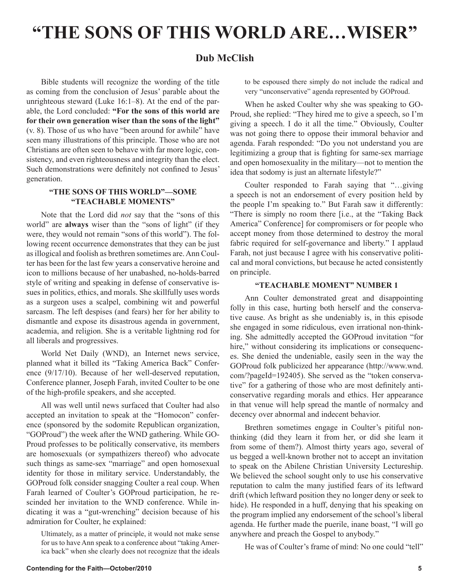## **"THE SONS OF THIS WORLD ARE…WISER"**

#### **Dub McClish**

Bible students will recognize the wording of the title as coming from the conclusion of Jesus' parable about the unrighteous steward (Luke 16:1–8). At the end of the parable, the Lord concluded: **"For the sons of this world are for their own generation wiser than the sons of the light"** (v. 8). Those of us who have "been around for awhile" have seen many illustrations of this principle. Those who are not Christians are often seen to behave with far more logic, consistency, and even righteousness and integrity than the elect. Such demonstrations were definitely not confined to Jesus' generation.

#### **"THE SONS OF THIS WORLD"—SOME "TEACHABLE MOMENTS"**

Note that the Lord did *not* say that the "sons of this world" are **always** wiser than the "sons of light" (if they were, they would not remain "sons of this world"). The following recent occurrence demonstrates that they can be just as illogical and foolish as brethren sometimes are. Ann Coulter has been for the last few years a conservative heroine and icon to millions because of her unabashed, no-holds-barred style of writing and speaking in defense of conservative issues in politics, ethics, and morals. She skillfully uses words as a surgeon uses a scalpel, combining wit and powerful sarcasm. The left despises (and fears) her for her ability to dismantle and expose its disastrous agenda in government, academia, and religion. She is a veritable lightning rod for all liberals and progressives.

World Net Daily (WND), an Internet news service, planned what it billed its "Taking America Back" Conference (9/17/10). Because of her well-deserved reputation, Conference planner, Joseph Farah, invited Coulter to be one of the high-profile speakers, and she accepted.

All was well until news surfaced that Coulter had also accepted an invitation to speak at the "Homocon" conference (sponsored by the sodomite Republican organization, "GOProud") the week after the WND gathering. While GO-Proud professes to be politically conservative, its members are homosexuals (or sympathizers thereof) who advocate such things as same-sex "marriage" and open homosexual identity for those in military service. Understandably, the GOProud folk consider snagging Coulter a real coup. When Farah learned of Coulter's GOProud participation, he rescinded her invitation to the WND conference. While indicating it was a "gut-wrenching" decision because of his admiration for Coulter, he explained:

Ultimately, as a matter of principle, it would not make sense for us to have Ann speak to a conference about "taking America back" when she clearly does not recognize that the ideals to be espoused there simply do not include the radical and very "unconservative" agenda represented by GOProud.

When he asked Coulter why she was speaking to GO-Proud, she replied: "They hired me to give a speech, so I'm giving a speech. I do it all the time." Obviously, Coulter was not going there to oppose their immoral behavior and agenda. Farah responded: "Do you not understand you are legitimizing a group that is fighting for same-sex marriage and open homosexuality in the military—not to mention the idea that sodomy is just an alternate lifestyle?"

Coulter responded to Farah saying that "…giving a speech is not an endorsement of every position held by the people I'm speaking to." But Farah saw it differently: "There is simply no room there [i.e., at the "Taking Back America" Conference] for compromisers or for people who accept money from those determined to destroy the moral fabric required for self-governance and liberty." I applaud Farah, not just because I agree with his conservative political and moral convictions, but because he acted consistently on principle.

#### **"TEACHABLE MOMENT" NUMBER 1**

Ann Coulter demonstrated great and disappointing folly in this case, hurting both herself and the conservative cause. As bright as she undeniably is, in this episode she engaged in some ridiculous, even irrational non-thinking. She admittedly accepted the GOProud invitation "for hire," without considering its implications or consequences. She denied the undeniable, easily seen in the way the GOProud folk publicized her appearance (http://www.wnd. com/?pageId=192405). She served as the "token conservative" for a gathering of those who are most definitely anticonservative regarding morals and ethics. Her appearance in that venue will help spread the mantle of normalcy and decency over abnormal and indecent behavior.

Brethren sometimes engage in Coulter's pitiful nonthinking (did they learn it from her, or did she learn it from some of them?). Almost thirty years ago, several of us begged a well-known brother not to accept an invitation to speak on the Abilene Christian University Lectureship. We believed the school sought only to use his conservative reputation to calm the many justified fears of its leftward drift (which leftward position they no longer deny or seek to hide). He responded in a huff, denying that his speaking on the program implied any endorsement of the school's liberal agenda. He further made the puerile, inane boast, "I will go anywhere and preach the Gospel to anybody."

He was of Coulter's frame of mind: No one could "tell"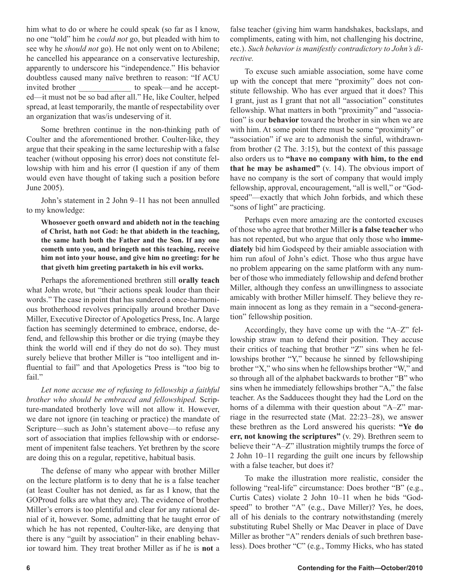him what to do or where he could speak (so far as I know, no one "told" him he *could not* go, but pleaded with him to see why he *should not* go). He not only went on to Abilene; he cancelled his appearance on a conservative lectureship, apparently to underscore his "independence." His behavior doubtless caused many naïve brethren to reason: "If ACU invited brother to speak—and he accepted—it must not be so bad after all." He, like Coulter, helped spread, at least temporarily, the mantle of respectability over an organization that was/is undeserving of it.

Some brethren continue in the non-thinking path of Coulter and the aforementioned brother. Coulter-like, they argue that their speaking in the same lectureship with a false teacher (without opposing his error) does not constitute fellowship with him and his error (I question if any of them would even have thought of taking such a position before June 2005).

John's statement in 2 John 9–11 has not been annulled to my knowledge:

**Whosoever goeth onward and abideth not in the teaching of Christ, hath not God: he that abideth in the teaching, the same hath both the Father and the Son. If any one cometh unto you, and bringeth not this teaching, receive him not into your house, and give him no greeting: for he that giveth him greeting partaketh in his evil works.**

Perhaps the aforementioned brethren still **orally teach**  what John wrote, but "their actions speak louder than their words." The case in point that has sundered a once-harmonious brotherhood revolves principally around brother Dave Miller, Executive Director of Apologetics Press, Inc. A large faction has seemingly determined to embrace, endorse, defend, and fellowship this brother or die trying (maybe they think the world will end if they do not do so). They must surely believe that brother Miller is "too intelligent and influential to fail" and that Apologetics Press is "too big to fail."

*Let none accuse me of refusing to fellowship a faithful brother who should be embraced and fellowshiped.* Scripture-mandated brotherly love will not allow it. However, we dare not ignore (in teaching or practice) the mandate of Scripture—such as John's statement above—to refuse any sort of association that implies fellowship with or endorsement of impenitent false teachers. Yet brethren by the score are doing this on a regular, repetitive, habitual basis.

The defense of many who appear with brother Miller on the lecture platform is to deny that he is a false teacher (at least Coulter has not denied, as far as I know, that the GOProud folks are what they are). The evidence of brother Miller's errors is too plentiful and clear for any rational denial of it, however. Some, admitting that he taught error of which he has not repented, Coulter-like, are denying that there is any "guilt by association" in their enabling behavior toward him. They treat brother Miller as if he is **not** a

false teacher (giving him warm handshakes, backslaps, and compliments, eating with him, not challenging his doctrine, etc.). *Such behavior is manifestly contradictory to John's directive.*

To excuse such amiable association, some have come up with the concept that mere "proximity" does not constitute fellowship. Who has ever argued that it does? This I grant, just as I grant that not all "association" constitutes fellowship. What matters in both "proximity" and "association" is our **behavior** toward the brother in sin when we are with him. At some point there must be some "proximity" or "association" if we are to admonish the sinful, withdrawnfrom brother (2 The. 3:15), but the context of this passage also orders us to **"have no company with him, to the end that he may be ashamed"** (v. 14). The obvious import of have no company is the sort of company that would imply fellowship, approval, encouragement, "all is well," or "Godspeed"—exactly that which John forbids, and which these "sons of light" are practicing.

Perhaps even more amazing are the contorted excuses of those who agree that brother Miller **is a false teacher** who has not repented, but who argue that only those who **immediately** bid him Godspeed by their amiable association with him run afoul of John's edict. Those who thus argue have no problem appearing on the same platform with any number of those who immediately fellowship and defend brother Miller, although they confess an unwillingness to associate amicably with brother Miller himself. They believe they remain innocent as long as they remain in a "second-generation" fellowship position.

Accordingly, they have come up with the "A–Z" fellowship straw man to defend their position. They accuse their critics of teaching that brother "Z" sins when he fellowships brother "Y," because he sinned by fellowshiping brother "X," who sins when he fellowships brother "W," and so through all of the alphabet backwards to brother "B" who sins when he immediately fellowships brother "A," the false teacher. As the Sadducees thought they had the Lord on the horns of a dilemma with their question about "A–Z" marriage in the resurrected state (Mat. 22:23–28), we answer these brethren as the Lord answered his querists: **"Ye do err, not knowing the scriptures"** (v. 29). Brethren seem to believe their "A–Z" illustration mightily trumps the force of 2 John 10–11 regarding the guilt one incurs by fellowship with a false teacher, but does it?

To make the illustration more realistic, consider the following "real-life" circumstance: Does brother "B" (e.g., Curtis Cates) violate 2 John 10–11 when he bids "Godspeed" to brother "A" (e.g., Dave Miller)? Yes, he does, all of his denials to the contrary notwithstanding (merely substituting Rubel Shelly or Mac Deaver in place of Dave Miller as brother "A" renders denials of such brethren baseless). Does brother "C" (e.g., Tommy Hicks, who has stated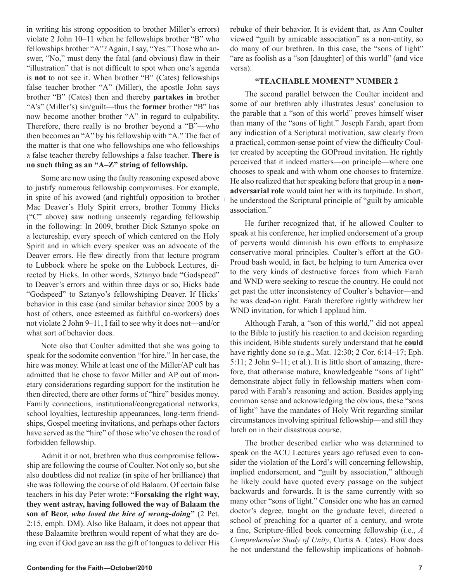in writing his strong opposition to brother Miller's errors) violate 2 John 10–11 when he fellowships brother "B" who fellowships brother "A"? Again, I say, "Yes." Those who answer, "No," must deny the fatal (and obvious) flaw in their "illustration" that is not difficult to spot when one's agenda is **not** to not see it. When brother "B" (Cates) fellowships false teacher brother "A" (Miller), the apostle John says brother "B" (Cates) then and thereby **partakes in** brother "A's" (Miller's) sin/guilt—thus the **former** brother "B" has now become another brother "A" in regard to culpability. Therefore, there really is no brother beyond a "B"—who then becomes an "A" by his fellowship with "A." The fact of the matter is that one who fellowships one who fellowships a false teacher thereby fellowships a false teacher. **There is no such thing as an "A–Z" string of fellowship.**

Some are now using the faulty reasoning exposed above to justify numerous fellowship compromises. For example, in spite of his avowed (and rightful) opposition to brother Mac Deaver's Holy Spirit errors, brother Tommy Hicks ("C" above) saw nothing unseemly regarding fellowship in the following: In 2009, brother Dick Sztanyo spoke on a lectureship, every speech of which centered on the Holy Spirit and in which every speaker was an advocate of the Deaver errors. He flew directly from that lecture program to Lubbock where he spoke on the Lubbock Lectures, directed by Hicks. In other words, Sztanyo bade "Godspeed" to Deaver's errors and within three days or so, Hicks bade "Godspeed" to Sztanyo's fellowshiping Deaver. If Hicks' behavior in this case (and similar behavior since 2005 by a host of others, once esteemed as faithful co-workers) does not violate 2 John 9–11, I fail to see why it does not—and/or what sort of behavior does.

Note also that Coulter admitted that she was going to speak for the sodomite convention "for hire." In her case, the hire was money. While at least one of the Miller/AP cult has admitted that he chose to favor Miller and AP out of monetary considerations regarding support for the institution he then directed, there are other forms of "hire" besides money. Family connections, institutional/congregational networks, school loyalties, lectureship appearances, long-term friendships, Gospel meeting invitations, and perhaps other factors have served as the "hire" of those who've chosen the road of forbidden fellowship.

Admit it or not, brethren who thus compromise fellowship are following the course of Coulter. Not only so, but she also doubtless did not realize (in spite of her brilliance) that she was following the course of old Balaam. Of certain false teachers in his day Peter wrote: **"Forsaking the right way, they went astray, having followed the way of Balaam the son of Beor,** *who loved the hire of wrong-doing***"** (2 Pet. 2:15, emph. DM). Also like Balaam, it does not appear that these Balaamite brethren would repent of what they are doing even if God gave an ass the gift of tongues to deliver His rebuke of their behavior. It is evident that, as Ann Coulter viewed "guilt by amicable association" as a non-entity, so do many of our brethren. In this case, the "sons of light" "are as foolish as a "son [daughter] of this world" (and vice versa).

#### **"TEACHABLE MOMENT" NUMBER 2**

The second parallel between the Coulter incident and some of our brethren ably illustrates Jesus' conclusion to the parable that a "son of this world" proves himself wiser than many of the "sons of light." Joseph Farah, apart from any indication of a Scriptural motivation, saw clearly from a practical, common-sense point of view the difficulty Coulter created by accepting the GOProud invitation. He rightly perceived that it indeed matters—on principle—where one chooses to speak and with whom one chooses to fraternize. He also realized that her speaking before that group in a **nonadversarial role** would taint her with its turpitude. In short, he understood the Scriptural principle of "guilt by amicable association."

He further recognized that, if he allowed Coulter to speak at his conference, her implied endorsement of a group of perverts would diminish his own efforts to emphasize conservative moral principles. Coulter's effort at the GO-Proud bash would, in fact, be helping to turn America over to the very kinds of destructive forces from which Farah and WND were seeking to rescue the country. He could not get past the utter inconsistency of Coulter's behavior—and he was dead-on right. Farah therefore rightly withdrew her WND invitation, for which I applaud him.

Although Farah, a "son of this world," did not appeal to the Bible to justify his reaction to and decision regarding this incident, Bible students surely understand that he **could** have rightly done so (e.g., Mat. 12:30; 2 Cor. 6:14–17; Eph. 5:11; 2 John 9–11; et al.). It is little short of amazing, therefore, that otherwise mature, knowledgeable "sons of light" demonstrate abject folly in fellowship matters when compared with Farah's reasoning and action. Besides applying common sense and acknowledging the obvious, these "sons of light" have the mandates of Holy Writ regarding similar circumstances involving spiritual fellowship—and still they lurch on in their disastrous course.

The brother described earlier who was determined to speak on the ACU Lectures years ago refused even to consider the violation of the Lord's will concerning fellowship, implied endorsement, and "guilt by association," although he likely could have quoted every passage on the subject backwards and forwards. It is the same currently with so many other "sons of light." Consider one who has an earned doctor's degree, taught on the graduate level, directed a school of preaching for a quarter of a century, and wrote a fine, Scripture-filled book concerning fellowship (i.e., *A Comprehensive Study of Unity*, Curtis A. Cates). How does he not understand the fellowship implications of hobnob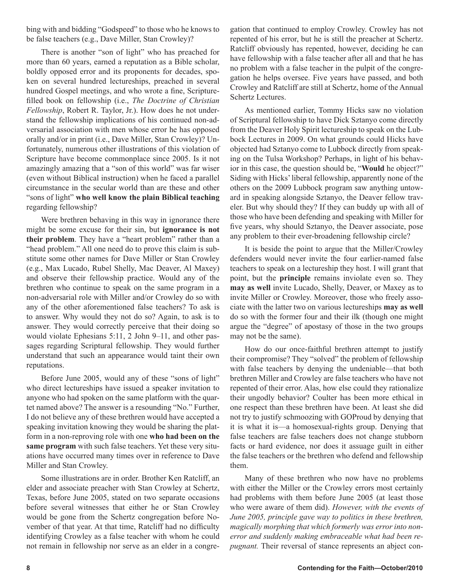bing with and bidding "Godspeed" to those who he knows to be false teachers (e.g., Dave Miller, Stan Crowley)?

There is another "son of light" who has preached for more than 60 years, earned a reputation as a Bible scholar, boldly opposed error and its proponents for decades, spoken on several hundred lectureships, preached in several hundred Gospel meetings, and who wrote a fine, Scripturefilled book on fellowship (i.e., *The Doctrine of Christian Fellowship*, Robert R. Taylor, Jr.). How does he not understand the fellowship implications of his continued non-adversarial association with men whose error he has opposed orally and/or in print (i.e., Dave Miller, Stan Crowley)? Unfortunately, numerous other illustrations of this violation of Scripture have become commonplace since 2005. Is it not amazingly amazing that a "son of this world" was far wiser (even without Biblical instruction) when he faced a parallel circumstance in the secular world than are these and other "sons of light" **who well know the plain Biblical teaching** regarding fellowship?

Were brethren behaving in this way in ignorance there might be some excuse for their sin, but **ignorance is not their problem**. They have a "heart problem" rather than a "head problem." All one need do to prove this claim is substitute some other names for Dave Miller or Stan Crowley (e.g., Max Lucado, Rubel Shelly, Mac Deaver, Al Maxey) and observe their fellowship practice. Would any of the brethren who continue to speak on the same program in a non-adversarial role with Miller and/or Crowley do so with any of the other aforementioned false teachers? To ask is to answer. Why would they not do so? Again, to ask is to answer. They would correctly perceive that their doing so would violate Ephesians 5:11, 2 John 9–11, and other passages regarding Scriptural fellowship. They would further understand that such an appearance would taint their own reputations.

Before June 2005, would any of these "sons of light" who direct lectureships have issued a speaker invitation to anyone who had spoken on the same platform with the quartet named above? The answer is a resounding "No." Further, I do not believe any of these brethren would have accepted a speaking invitation knowing they would be sharing the platform in a non-reproving role with one **who had been on the same program** with such false teachers. Yet these very situations have occurred many times over in reference to Dave Miller and Stan Crowley.

Some illustrations are in order. Brother Ken Ratcliff, an elder and associate preacher with Stan Crowley at Schertz, Texas, before June 2005, stated on two separate occasions before several witnesses that either he or Stan Crowley would be gone from the Schertz congregation before November of that year. At that time, Ratcliff had no difficulty identifying Crowley as a false teacher with whom he could not remain in fellowship nor serve as an elder in a congregation that continued to employ Crowley. Crowley has not repented of his error, but he is still the preacher at Schertz. Ratcliff obviously has repented, however, deciding he can have fellowship with a false teacher after all and that he has no problem with a false teacher in the pulpit of the congregation he helps oversee. Five years have passed, and both Crowley and Ratcliff are still at Schertz, home of the Annual Schertz Lectures.

As mentioned earlier, Tommy Hicks saw no violation of Scriptural fellowship to have Dick Sztanyo come directly from the Deaver Holy Spirit lectureship to speak on the Lubbock Lectures in 2009. On what grounds could Hicks have objected had Sztanyo come to Lubbock directly from speaking on the Tulsa Workshop? Perhaps, in light of his behavior in this case, the question should be, "**Would** he object?" Siding with Hicks' liberal fellowship, apparently none of the others on the 2009 Lubbock program saw anything untoward in speaking alongside Sztanyo, the Deaver fellow traveler. But why should they? If they can buddy up with all of those who have been defending and speaking with Miller for five years, why should Sztanyo, the Deaver associate, pose any problem to their ever-broadening fellowship circle?

It is beside the point to argue that the Miller/Crowley defenders would never invite the four earlier-named false teachers to speak on a lectureship they host. I will grant that point, but the **principle** remains inviolate even so. They **may as well** invite Lucado, Shelly, Deaver, or Maxey as to invite Miller or Crowley. Moreover, those who freely associate with the latter two on various lectureships **may as well** do so with the former four and their ilk (though one might argue the "degree" of apostasy of those in the two groups may not be the same).

How do our once-faithful brethren attempt to justify their compromise? They "solved" the problem of fellowship with false teachers by denying the undeniable—that both brethren Miller and Crowley are false teachers who have not repented of their error. Alas, how else could they rationalize their ungodly behavior? Coulter has been more ethical in one respect than these brethren have been. At least she did not try to justify schmoozing with GOProud by denying that it is what it is—a homosexual-rights group. Denying that false teachers are false teachers does not change stubborn facts or hard evidence, nor does it assuage guilt in either the false teachers or the brethren who defend and fellowship them.

Many of these brethren who now have no problems with either the Miller or the Crowley errors most certainly had problems with them before June 2005 (at least those who were aware of them did). *However, with the events of June 2005, principle gave way to politics in these brethren, magically morphing that which formerly was error into nonerror and suddenly making embraceable what had been repugnant.* Their reversal of stance represents an abject con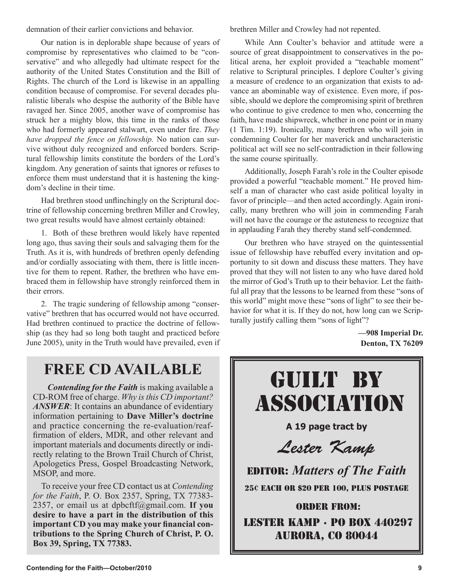demnation of their earlier convictions and behavior.

Our nation is in deplorable shape because of years of compromise by representatives who claimed to be "conservative" and who allegedly had ultimate respect for the authority of the United States Constitution and the Bill of Rights. The church of the Lord is likewise in an appalling condition because of compromise. For several decades pluralistic liberals who despise the authority of the Bible have ravaged her. Since 2005, another wave of compromise has struck her a mighty blow, this time in the ranks of those who had formerly appeared stalwart, even under fire. *They have dropped the fence on fellowship.* No nation can survive without duly recognized and enforced borders. Scriptural fellowship limits constitute the borders of the Lord's kingdom. Any generation of saints that ignores or refuses to enforce them must understand that it is hastening the kingdom's decline in their time.

Had brethren stood unflinchingly on the Scriptural doctrine of fellowship concerning brethren Miller and Crowley, two great results would have almost certainly obtained:

1. Both of these brethren would likely have repented long ago, thus saving their souls and salvaging them for the Truth. As it is, with hundreds of brethren openly defending and/or cordially associating with them, there is little incentive for them to repent. Rather, the brethren who have embraced them in fellowship have strongly reinforced them in their errors.

2. The tragic sundering of fellowship among "conservative" brethren that has occurred would not have occurred. Had brethren continued to practice the doctrine of fellowship (as they had so long both taught and practiced before June 2005), unity in the Truth would have prevailed, even if

### **FREE CD AVAILABLE**

*Contending for the Faith* is making available a CD-ROM free of charge. *Why is this CD important? ANSWER*: It contains an abundance of evidentiary information pertaining to **Dave Miller's doctrine** and practice concerning the re-evaluation/reaffirmation of elders, MDR, and other relevant and important materials and documents directly or indirectly relating to the Brown Trail Church of Christ, Apologetics Press, Gospel Broadcasting Network, MSOP, and more.

To receive your free CD contact us at *Contending for the Faith*, P. O. Box 2357, Spring, TX 77383- 2357, or email us at dpbcftf@gmail.com. **If you desire to have a part in the distribution of this important CD you may make your financial contributions to the Spring Church of Christ, P. O. Box 39, Spring, TX 77383.**

brethren Miller and Crowley had not repented.

While Ann Coulter's behavior and attitude were a source of great disappointment to conservatives in the political arena, her exploit provided a "teachable moment" relative to Scriptural principles. I deplore Coulter's giving a measure of credence to an organization that exists to advance an abominable way of existence. Even more, if possible, should we deplore the compromising spirit of brethren who continue to give credence to men who, concerning the faith, have made shipwreck, whether in one point or in many (1 Tim. 1:19). Ironically, many brethren who will join in condemning Coulter for her maverick and uncharacteristic political act will see no self-contradiction in their following the same course spiritually.

Additionally, Joseph Farah's role in the Coulter episode provided a powerful "teachable moment." He proved himself a man of character who cast aside political loyalty in favor of principle—and then acted accordingly. Again ironically, many brethren who will join in commending Farah will not have the courage or the astuteness to recognize that in applauding Farah they thereby stand self-condemned.

Our brethren who have strayed on the quintessential issue of fellowship have rebuffed every invitation and opportunity to sit down and discuss these matters. They have proved that they will not listen to any who have dared hold the mirror of God's Truth up to their behavior. Let the faithful all pray that the lessons to be learned from these "sons of this world" might move these "sons of light" to see their behavior for what it is. If they do not, how long can we Scripturally justify calling them "sons of light"?

> **—908 Imperial Dr. Denton, TX 76209**

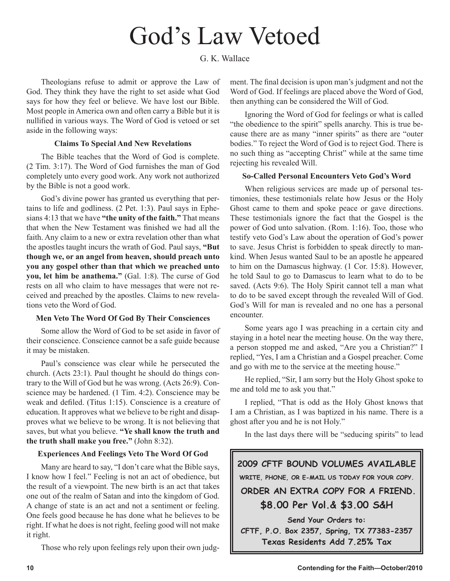# God's Law Vetoed

G. K. Wallace

Theologians refuse to admit or approve the Law of God. They think they have the right to set aside what God says for how they feel or believe. We have lost our Bible. Most people in America own and often carry a Bible but it is nullified in various ways. The Word of God is vetoed or set aside in the following ways:

#### **Claims To Special And New Revelations**

The Bible teaches that the Word of God is complete. (2 Tim. 3:17). The Word of God furnishes the man of God completely unto every good work. Any work not authorized by the Bible is not a good work.

God's divine power has granted us everything that pertains to life and godliness. (2 Pet. 1:3). Paul says in Ephesians 4:13 that we have **"the unity of the faith."** That means that when the New Testament was finished we had all the faith. Any claim to a new or extra revelation other than what the apostles taught incurs the wrath of God. Paul says, **"But though we, or an angel from heaven, should preach unto you any gospel other than that which we preached unto you, let him be anathema."** (Gal. 1:8). The curse of God rests on all who claim to have messages that were not received and preached by the apostles. Claims to new revelations veto the Word of God.

#### **Men Veto The Word Of God By Their Consciences**

Some allow the Word of God to be set aside in favor of their conscience. Conscience cannot be a safe guide because it may be mistaken.

Paul's conscience was clear while he persecuted the church. (Acts 23:1). Paul thought he should do things contrary to the Will of God but he was wrong. (Acts 26:9). Conscience may be hardened. (1 Tim. 4:2). Conscience may be weak and defiled. (Titus 1:15). Conscience is a creature of education. It approves what we believe to be right and disapproves what we believe to be wrong. It is not believing that saves, but what you believe. **"Ye shall know the truth and the truth shall make you free."** (John 8:32).

#### **Experiences And Feelings Veto The Word Of God**

Many are heard to say, "I don't care what the Bible says, I know how I feel." Feeling is not an act of obedience, but the result of a viewpoint. The new birth is an act that takes one out of the realm of Satan and into the kingdom of God. A change of state is an act and not a sentiment or feeling. One feels good because he has done what he believes to be right. If what he does is not right, feeling good will not make it right.

Those who rely upon feelings rely upon their own judg-

ment. The final decision is upon man's judgment and not the Word of God. If feelings are placed above the Word of God, then anything can be considered the Will of God.

Ignoring the Word of God for feelings or what is called "the obedience to the spirit" spells anarchy. This is true because there are as many "inner spirits" as there are "outer bodies." To reject the Word of God is to reject God. There is no such thing as "accepting Christ" while at the same time rejecting his revealed Will.

#### **So-Called Personal Encounters Veto God's Word**

When religious services are made up of personal testimonies, these testimonials relate how Jesus or the Holy Ghost came to them and spoke peace or gave directions. These testimonials ignore the fact that the Gospel is the power of God unto salvation. (Rom. 1:16). Too, those who testify veto God's Law about the operation of God's power to save. Jesus Christ is forbidden to speak directly to mankind. When Jesus wanted Saul to be an apostle he appeared to him on the Damascus highway. (1 Cor. 15:8). However, he told Saul to go to Damascus to learn what to do to be saved. (Acts 9:6). The Holy Spirit cannot tell a man what to do to be saved except through the revealed Will of God. God's Will for man is revealed and no one has a personal encounter.

Some years ago I was preaching in a certain city and staying in a hotel near the meeting house. On the way there, a person stopped me and asked, "Are you a Christian?" I replied, "Yes, I am a Christian and a Gospel preacher. Come and go with me to the service at the meeting house."

He replied, "Sir, I am sorry but the Holy Ghost spoke to me and told me to ask you that."

I replied, "That is odd as the Holy Ghost knows that I am a Christian, as I was baptized in his name. There is a ghost after you and he is not Holy."

In the last days there will be "seducing spirits" to lead

**2009 CFTF BOUND VOLUMES AVAILABLE WRITE, PHONE, OR E-MAIL US TODAY FOR YOUR COPY. ORDER AN EXTRA COPY FOR A FRIEND. \$8.00 Per Vol.& \$3.00 S&H**

**Send Your Orders to: CFTF, P.O. Box 2357, Spring, TX 77383-2357 Texas Residents Add 7.25% Tax**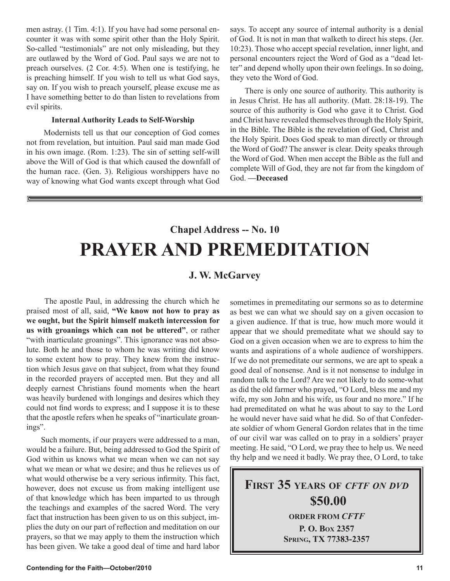men astray. (1 Tim. 4:1). If you have had some personal encounter it was with some spirit other than the Holy Spirit. So-called "testimonials" are not only misleading, but they are outlawed by the Word of God. Paul says we are not to preach ourselves. (2 Cor. 4:5). When one is testifying, he is preaching himself. If you wish to tell us what God says, say on. If you wish to preach yourself, please excuse me as I have something better to do than listen to revelations from evil spirits.

#### **Internal Authority Leads to Self-Worship**

 Modernists tell us that our conception of God comes not from revelation, but intuition. Paul said man made God in his own image. (Rom. 1:23). The sin of setting self-will above the Will of God is that which caused the downfall of the human race. (Gen. 3). Religious worshippers have no way of knowing what God wants except through what God says. To accept any source of internal authority is a denial of God. It is not in man that walketh to direct his steps. (Jer. 10:23). Those who accept special revelation, inner light, and personal encounters reject the Word of God as a "dead letter" and depend wholly upon their own feelings. In so doing, they veto the Word of God.

There is only one source of authority. This authority is in Jesus Christ. He has all authority. (Matt. 28:18-19). The source of this authority is God who gave it to Christ. God and Christ have revealed themselves through the Holy Spirit, in the Bible. The Bible is the revelation of God, Christ and the Holy Spirit. Does God speak to man directly or through the Word of God? The answer is clear. Deity speaks through the Word of God. When men accept the Bible as the full and complete Will of God, they are not far from the kingdom of God. **—Deceased**

## **Chapel Address -- No. 10 PRAYER AND PREMEDITATION**

#### **J. W. McGarvey**

The apostle Paul, in addressing the church which he praised most of all, said, **"We know not how to pray as we ought, but the Spirit himself maketh intercession for us with groanings which can not be uttered"**, or rather "with inarticulate groanings". This ignorance was not absolute. Both he and those to whom he was writing did know to some extent how to pray. They knew from the instruction which Jesus gave on that subject, from what they found in the recorded prayers of accepted men. But they and all deeply earnest Christians found moments when the heart was heavily burdened with longings and desires which they could not find words to express; and I suppose it is to these that the apostle refers when he speaks of "inarticulate groanings".

Such moments, if our prayers were addressed to a man, would be a failure. But, being addressed to God the Spirit of God within us knows what we mean when we can not say what we mean or what we desire; and thus he relieves us of what would otherwise be a very serious infirmity. This fact, however, does not excuse us from making intelligent use of that knowledge which has been imparted to us through the teachings and examples of the sacred Word. The very fact that instruction has been given to us on this subject, implies the duty on our part of reflection and meditation on our prayers, so that we may apply to them the instruction which has been given. We take a good deal of time and hard labor

sometimes in premeditating our sermons so as to determine as best we can what we should say on a given occasion to a given audience. If that is true, how much more would it appear that we should premeditate what we should say to God on a given occasion when we are to express to him the wants and aspirations of a whole audience of worshippers. If we do not premeditate our sermons, we are apt to speak a good deal of nonsense. And is it not nonsense to indulge in random talk to the Lord? Are we not likely to do some-what as did the old farmer who prayed, "O Lord, bless me and my wife, my son John and his wife, us four and no more." If he had premeditated on what he was about to say to the Lord he would never have said what he did. So of that Confederate soldier of whom General Gordon relates that in the time of our civil war was called on to pray in a soldiers' prayer meeting. He said, "O Lord, we pray thee to help us. We need thy help and we need it badly. We pray thee, O Lord, to take

**FIRST 35 YEARS OF** *CFTF ON DVD* **\$50.00 ORDER FROM** *CFTF* **P. O. BOX 2357 SPRING, TX 77383-2357**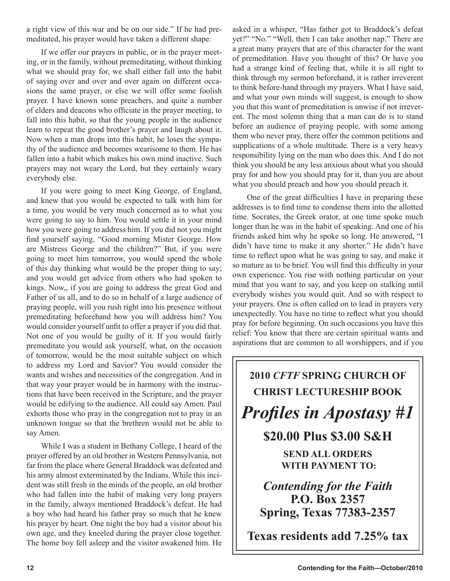a right view of this war and be on our side." If he had premeditated, his prayer would have taken a different shape.

If we offer our prayers in public, or in the prayer meeting, or in the family, without premeditating, without thinking what we should pray for, we shall either fall into the habit of saying over and over and over again on different occasions the same prayer, or else we will offer some foolish prayer. I have known some preachers, and quite a number of elders and deacons who officiate in the prayer meeting, to fall into this habit, so that the young people in the audience learn to repeat the good brother's prayer and laugh about it. Now when a man drops into this habit, he loses the sympathy of the audience and becomes wearisome to them. He has fallen into a habit which makes his own mind inactive. Such prayers may not weary the Lord, but they certainly weary everybody else.

If you were going to meet King George, of England, and knew that you would be expected to talk with him for a time, you would be very much concerned as to what you were going to say to him. You would settle it in your mind how you were going to address him. If you did not you might find yourself saying, "Good morning Mister George. How are Mistress George and the children?" But, if you were going to meet him tomorrow, you would spend the whole of this day thinking what would be the proper thing to say; and you would get advice from others who had spoken to kings. Now,, if you are going to address the great God and Father of us all, and to do so in behalf of a large audience of praying people, will you rush right into his presence without premeditating beforehand how you will address him? You would consider yourself unfit to offer a prayer if you did that. Not one of you would be guilty of it. If you would fairly premeditate you would ask yourself, what, on the occasion of tomorrow, would be the most suitable subject on which to address my Lord and Savior? You would consider the wants and wishes and necessities of the congregation. And in that way your prayer would be in harmony with the instructions that have been received in the Scripture, and the prayer would be edifying to the audience. All could say Amen. Paul exhorts those who pray in the congregation not to pray in an unknown tongue so that the brethren would not be able to say Amen.

While I was a student in Bethany College, I heard of the prayer offered by an old brother in Western Pennsylvania, not far from the place where General Braddock was defeated and his army almost exterminated by the Indians. While this incident was still fresh in the minds of the people, an old brother who had fallen into the habit of making very long prayers in the family, always mentioned Braddock's defeat. He had a boy who had heard his father pray so much that he knew his prayer by heart. One night the boy had a visitor about his own age, and they kneeled during the prayer close together. The home boy fell asleep and the visitor awakened him. He asked in a whisper, "Has father got to Braddock's defeat yet?" "No." "Well, then I can take another nap." There are a great many prayers that are of this character for the want of premeditation. Have you thought of this? Or have you had a strange kind of feeling that, while it is all right to think through my sermon beforehand, it is rather irreverent to think before-hand through my prayers. What I have said, and what your own minds will suggest, is enough to show you that this want of premeditation is unwise if not irreverent. The most solemn thing that a man can do is to stand before an audience of praying people, with some among them who never pray, there offer the common petitions and supplications of a whole multitude. There is a very heavy responsibility lying on the man who does this. And I do not think you should be any less anxious about what you should pray for and how you should pray for it, than you are about what you should preach and how you should preach it.

One of the great difficulties I have in preparing these addresses is to find time to condense them into the allotted time. Socrates, the Greek orator, at one time spoke much longer than he was in the habit of speaking. And one of his friends asked him why he spoke so long. He answered, "I didn't have time to make it any shorter." He didn't have time to reflect upon what he was going to say, and make it so mature as to be brief. You will find this difficulty in your own experience. You rise with nothing particular on your mind that you want to say, and you keep on stalking until everybody wishes you would quit. And so with respect to your prayers. One is often called on to lead in prayers very unexpectedly. You have no time to reflect what you should pray for before beginning. On such occasions you have this relief: You know that there are certain spiritual wants and aspirations that are common to all worshippers, and if you

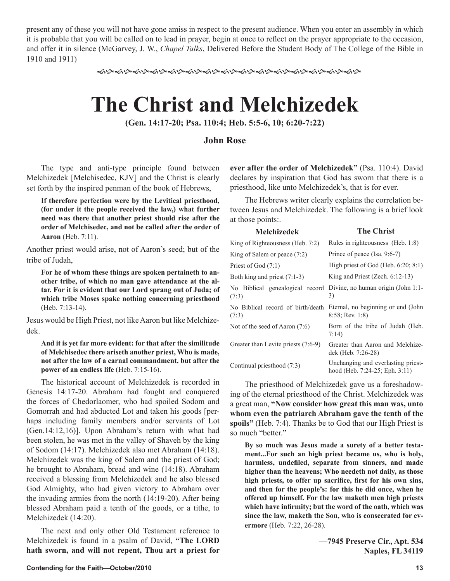present any of these you will not have gone amiss in respect to the present audience. When you enter an assembly in which it is probable that you will be called on to lead in prayer, begin at once to reflect on the prayer appropriate to the occasion, and offer it in silence (McGarvey, J. W., *Chapel Talks*, Delivered Before the Student Body of The College of the Bible in 1910 and 1911)

ଈଡ଼୶ଈଡ଼୶ୠଡ଼୶ୠଡ଼୶ୠଡ଼୶ୠଡ଼୶ୠଡ଼୶ୠଡ଼୶ୠଡ଼୶ୠଡ଼୶ୠଡ଼୶ୠଡ଼୶ୠଡ଼

## **The Christ and Melchizedek**

**(Gen. 14:17-20; Psa. 110:4; Heb. 5:5-6, 10; 6:20-7:22)**

#### **John Rose**

The type and anti-type principle found between Melchizedek [Melchisedec, KJV] and the Christ is clearly set forth by the inspired penman of the book of Hebrews,

**If therefore perfection were by the Levitical priesthood, (for under it the people received the law,) what further need was there that another priest should rise after the order of Melchisedec, and not be called after the order of Aaron** (Heb. 7:11).

Another priest would arise, not of Aaron's seed; but of the tribe of Judah,

**For he of whom these things are spoken pertaineth to another tribe, of which no man gave attendance at the altar. For it is evident that our Lord sprang out of Juda; of which tribe Moses spake nothing concerning priesthood** (Heb. 7:13-14).

Jesus would be High Priest, not like Aaron but like Melchizedek.

**And it is yet far more evident: for that after the similitude of Melchisedec there ariseth another priest, Who is made, not after the law of a carnal commandment, but after the power of an endless life** (Heb. 7:15-16).

The historical account of Melchizedek is recorded in Genesis 14:17-20. Abraham had fought and conquered the forces of Chedorlaomer, who had spoiled Sodom and Gomorrah and had abducted Lot and taken his goods [perhaps including family members and/or servants of Lot (Gen.14:12,16)]. Upon Abraham's return with what had been stolen, he was met in the valley of Shaveh by the king of Sodom (14:17). Melchizedek also met Abraham (14:18). Melchizedek was the king of Salem and the priest of God; he brought to Abraham, bread and wine (14:18). Abraham received a blessing from Melchizedek and he also blessed God Almighty, who had given victory to Abraham over the invading armies from the north (14:19-20). After being blessed Abraham paid a tenth of the goods, or a tithe, to Melchizedek (14:20).

The next and only other Old Testament reference to Melchizedek is found in a psalm of David, **"The LORD hath sworn, and will not repent, Thou art a priest for**  **ever after the order of Melchizedek"** (Psa. 110:4). David declares by inspiration that God has sworn that there is a priesthood, like unto Melchizedek's, that is for ever.

The Hebrews writer clearly explains the correlation between Jesus and Melchizedek. The following is a brief look at those points:.

| <b>Melchizedek</b>                         | <b>The Christ</b>                                                    |
|--------------------------------------------|----------------------------------------------------------------------|
| King of Righteousness (Heb. 7:2)           | Rules in righteousness (Heb. 1:8)                                    |
| King of Salem or peace $(7:2)$             | Prince of peace (Isa. 9:6-7)                                         |
| Priest of God $(7:1)$                      | High priest of God (Heb. $6:20; 8:1$ )                               |
| Both king and priest (7:1-3)               | King and Priest $(Zech. 6:12-13)$                                    |
| No Biblical genealogical record<br>(7:3)   | Divine, no human origin (John 1:1-<br>3)                             |
| No Biblical record of birth/death<br>(7:3) | Eternal, no beginning or end (John<br>$8:58$ ; Rev. 1:8)             |
| Not of the seed of Aaron (7:6)             | Born of the tribe of Judah (Heb.<br>7:14)                            |
| Greater than Levite priests (7:6-9)        | Greater than Aaron and Melchize-<br>dek (Heb. 7:26-28)               |
| Continual priesthood (7:3)                 | Unchanging and everlasting priest-<br>hood (Heb. 7:24-25; Eph. 3:11) |

The priesthood of Melchizedek gave us a foreshadowing of the eternal priesthood of the Christ. Melchizedek was a great man, **"Now consider how great this man was, unto whom even the patriarch Abraham gave the tenth of the spoils"** (Heb. 7:4). Thanks be to God that our High Priest is so much "better."

**By so much was Jesus made a surety of a better testament...For such an high priest became us, who is holy, harmless, undefiled, separate from sinners, and made higher than the heavens; Who needeth not daily, as those high priests, to offer up sacrifice, first for his own sins, and then for the people's: for this he did once, when he offered up himself. For the law maketh men high priests which have infirmity; but the word of the oath, which was since the law, maketh the Son, who is consecrated for evermore** (Heb. 7:22, 26-28).

> **—7945 Preserve Cir., Apt. 534 Naples, FL 34119**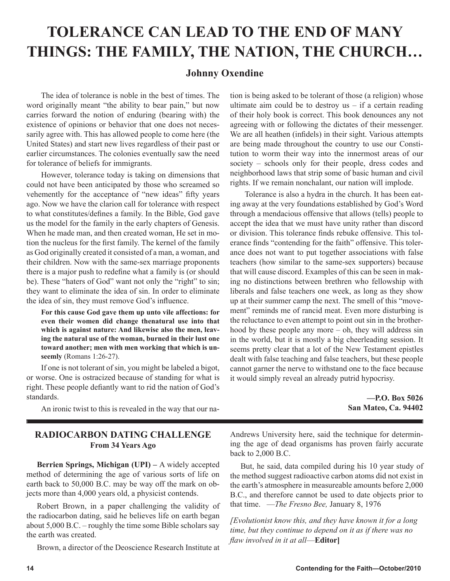## **TOLERANCE CAN LEAD TO THE END OF MANY THINGS: THE FAMILY, THE NATION, THE CHURCH…**

#### **Johnny Oxendine**

The idea of tolerance is noble in the best of times. The word originally meant "the ability to bear pain," but now carries forward the notion of enduring (bearing with) the existence of opinions or behavior that one does not necessarily agree with. This has allowed people to come here (the United States) and start new lives regardless of their past or earlier circumstances. The colonies eventually saw the need for tolerance of beliefs for immigrants.

However, tolerance today is taking on dimensions that could not have been anticipated by those who screamed so vehemently for the acceptance of "new ideas" fifty years ago. Now we have the clarion call for tolerance with respect to what constitutes/defines a family. In the Bible, God gave us the model for the family in the early chapters of Genesis. When he made man, and then created woman, He set in motion the nucleus for the first family. The kernel of the family as God originally created it consisted of a man, a woman, and their children. Now with the same-sex marriage proponents there is a major push to redefine what a family is (or should be). These "haters of God" want not only the "right" to sin; they want to eliminate the idea of sin. In order to eliminate the idea of sin, they must remove God's influence.

**For this cause God gave them up unto vile affections: for even their women did change thenatural use into that which is against nature: And likewise also the men, leaving the natural use of the woman, burned in their lust one toward another; men with men working that which is unseemly** (Romans 1:26-27).

If one is not tolerant of sin, you might be labeled a bigot, or worse. One is ostracized because of standing for what is right. These people defiantly want to rid the nation of God's standards.

An ironic twist to this is revealed in the way that our na-

#### **RADIOCARBON DATING CHALLENGE From 34 Years Ago**

**Berrien Springs, Michigan (UPI) –** A widely accepted method of determining the age of various sorts of life on earth back to 50,000 B.C. may be way off the mark on objects more than 4,000 years old, a physicist contends.

Robert Brown, in a paper challenging the validity of the radiocarbon dating, said he believes life on earth began about 5,000 B.C. – roughly the time some Bible scholars say the earth was created.

Brown, a director of the Deoscience Research Institute at

tion is being asked to be tolerant of those (a religion) whose ultimate aim could be to destroy  $us - if a certain reading$ of their holy book is correct. This book denounces any not agreeing with or following the dictates of their messenger. We are all heathen (infidels) in their sight. Various attempts are being made throughout the country to use our Constitution to worm their way into the innermost areas of our society – schools only for their people, dress codes and neighborhood laws that strip some of basic human and civil rights. If we remain nonchalant, our nation will implode.

Tolerance is also a hydra in the church. It has been eating away at the very foundations established by God's Word through a mendacious offensive that allows (tells) people to accept the idea that we must have unity rather than discord or division. This tolerance finds rebuke offensive. This tolerance finds "contending for the faith" offensive. This tolerance does not want to put together associations with false teachers (how similar to the same-sex supporters) because that will cause discord. Examples of this can be seen in making no distinctions between brethren who fellowship with liberals and false teachers one week, as long as they show up at their summer camp the next. The smell of this "movement" reminds me of rancid meat. Even more disturbing is the reluctance to even attempt to point out sin in the brotherhood by these people any more – oh, they will address sin in the world, but it is mostly a big cheerleading session. It seems pretty clear that a lot of the New Testament epistles dealt with false teaching and false teachers, but these people cannot garner the nerve to withstand one to the face because it would simply reveal an already putrid hypocrisy.

> **—P.O. Box 5026 San Mateo, Ca. 94402**

Andrews University here, said the technique for determining the age of dead organisms has proven fairly accurate back to 2,000 B.C.

But, he said, data compiled during his 10 year study of the method suggest radioactive carbon atoms did not exist in the earth's atmosphere in measureable amounts before 2,000 B.C., and therefore cannot be used to date objects prior to that time. —*The Fresno Bee,* January 8, 1976

*[Evolutionist know this, and they have known it for a long time, but they continue to depend on it as if there was no flaw involved in it at all*—**Editor]**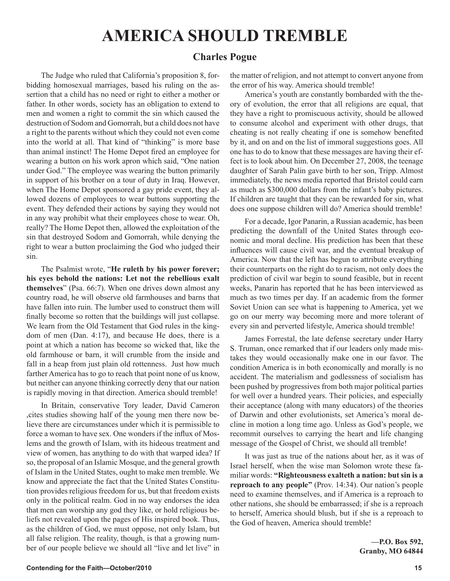# **Contending for the Faith—October/2010 15 and 2010 15 and 2010 15 and 2010 15 and 2010 15 and 2010 15 and 2010 15 and 2010 15 and 2010 15 and 2010 15 and 2010 15 and 2010 15 and 2010 16:00 16:00 16:00 16:00 16:00 16:00 16:**

## **AMERICA SHOULD TREMBLE**

#### **Charles Pogue**

The Judge who ruled that California's proposition 8, forbidding homosexual marriages, based his ruling on the assertion that a child has no need or right to either a mother or father. In other words, society has an obligation to extend to men and women a right to commit the sin which caused the destruction of Sodom and Gomorrah, but a child does not have a right to the parents without which they could not even come into the world at all. That kind of "thinking" is more base than animal instinct! The Home Depot fired an employee for wearing a button on his work apron which said, "One nation under God." The employee was wearing the button primarily in support of his brother on a tour of duty in Iraq. However, when The Home Depot sponsored a gay pride event, they allowed dozens of employees to wear buttons supporting the event. They defended their actions by saying they would not in any way prohibit what their employees chose to wear. Oh, really? The Home Depot then, allowed the exploitation of the sin that destroyed Sodom and Gomorrah, while denying the right to wear a button proclaiming the God who judged their sin.

The Psalmist wrote, "**He ruleth by his power forever; his eyes behold the nations: Let not the rebellious exalt themselves**" (Psa. 66:7). When one drives down almost any country road, he will observe old farmhouses and barns that have fallen into ruin. The lumber used to construct them will finally become so rotten that the buildings will just collapse. We learn from the Old Testament that God rules in the kingdom of men (Dan. 4:17), and because He does, there is a point at which a nation has become so wicked that, like the old farmhouse or barn, it will crumble from the inside and fall in a heap from just plain old rottenness. Just how much farther America has to go to reach that point none of us know, but neither can anyone thinking correctly deny that our nation is rapidly moving in that direction. America should tremble!

In Britain, conservative Tory leader, David Cameron ,cites studies showing half of the young men there now believe there are circumstances under which it is permissible to force a woman to have sex. One wonders if the influx of Moslems and the growth of Islam, with its hideous treatment and view of women, has anything to do with that warped idea? If so, the proposal of an Islamic Mosque, and the general growth of Islam in the United States, ought to make men tremble. We know and appreciate the fact that the United States Constitution provides religious freedom for us, but that freedom exists only in the political realm. God in no way endorses the idea that men can worship any god they like, or hold religious beliefs not revealed upon the pages of His inspired book. Thus, as the children of God, we must oppose, not only Islam, but all false religion. The reality, though, is that a growing number of our people believe we should all "live and let live" in

the matter of religion, and not attempt to convert anyone from the error of his way. America should tremble!

America's youth are constantly bombarded with the theory of evolution, the error that all religions are equal, that they have a right to promiscuous activity, should be allowed to consume alcohol and experiment with other drugs, that cheating is not really cheating if one is somehow benefited by it, and on and on the list of immoral suggestions goes. All one has to do to know that these messages are having their effect is to look about him. On December 27, 2008, the teenage daughter of Sarah Palin gave birth to her son, Tripp. Almost immediately, the news media reported that Bristol could earn as much as \$300,000 dollars from the infant's baby pictures. If children are taught that they can be rewarded for sin, what does one suppose children will do? America should tremble!

For a decade, Igor Panarin, a Russian academic, has been predicting the downfall of the United States through economic and moral decline. His prediction has been that these influences will cause civil war, and the eventual breakup of America. Now that the left has begun to attribute everything their counterparts on the right do to racism, not only does the prediction of civil war begin to sound feasible, but in recent weeks, Panarin has reported that he has been interviewed as much as two times per day. If an academic from the former Soviet Union can see what is happening to America, yet we go on our merry way becoming more and more tolerant of every sin and perverted lifestyle, America should tremble!

James Forrestal, the late defense secretary under Harry S. Truman, once remarked that if our leaders only made mistakes they would occasionally make one in our favor. The condition America is in both economically and morally is no accident. The materialism and godlessness of socialism has been pushed by progressives from both major political parties for well over a hundred years. Their policies, and especially their acceptance (along with many educators) of the theories of Darwin and other evolutionists, set America's moral decline in motion a long time ago. Unless as God's people, we recommit ourselves to carrying the heart and life changing message of the Gospel of Christ, we should all tremble!

It was just as true of the nations about her, as it was of Israel herself, when the wise man Solomon wrote these familiar words: **"Righteousness exalteth a nation: but sin is a reproach to any people"** (Prov. 14:34). Our nation's people need to examine themselves, and if America is a reproach to other nations, she should be embarrassed; if she is a reproach to herself, America should blush, but if she is a reproach to the God of heaven, America should tremble!

> **—P.O. Box 592, Granby, MO 64844**